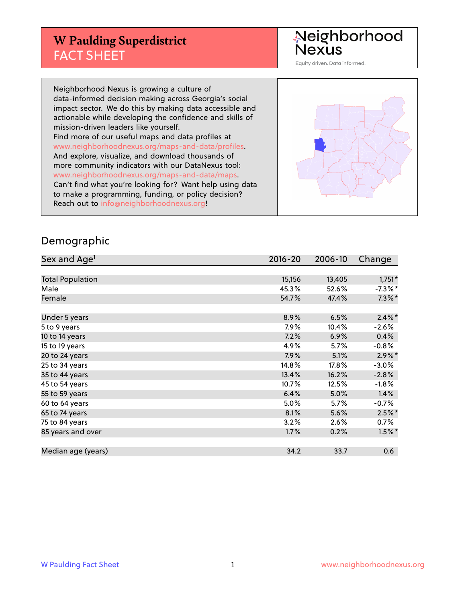# **W Paulding Superdistrict** FACT SHEET

Neighborhood<br>Nexus

Equity driven. Data informed.

Neighborhood Nexus is growing a culture of data-informed decision making across Georgia's social impact sector. We do this by making data accessible and actionable while developing the confidence and skills of mission-driven leaders like yourself. Find more of our useful maps and data profiles at www.neighborhoodnexus.org/maps-and-data/profiles. And explore, visualize, and download thousands of more community indicators with our DataNexus tool: www.neighborhoodnexus.org/maps-and-data/maps. Can't find what you're looking for? Want help using data to make a programming, funding, or policy decision? Reach out to [info@neighborhoodnexus.org!](mailto:info@neighborhoodnexus.org)



#### Demographic

| Sex and Age <sup>1</sup> | $2016 - 20$ | 2006-10 | Change     |
|--------------------------|-------------|---------|------------|
|                          |             |         |            |
| <b>Total Population</b>  | 15,156      | 13,405  | $1,751*$   |
| Male                     | 45.3%       | 52.6%   | $-7.3\%$ * |
| Female                   | 54.7%       | 47.4%   | $7.3\%$ *  |
|                          |             |         |            |
| Under 5 years            | 8.9%        | 6.5%    | $2.4\%$ *  |
| 5 to 9 years             | 7.9%        | 10.4%   | $-2.6%$    |
| 10 to 14 years           | 7.2%        | 6.9%    | 0.4%       |
| 15 to 19 years           | 4.9%        | 5.7%    | $-0.8%$    |
| 20 to 24 years           | 7.9%        | 5.1%    | $2.9\%$ *  |
| 25 to 34 years           | 14.8%       | 17.8%   | $-3.0%$    |
| 35 to 44 years           | 13.4%       | 16.2%   | $-2.8%$    |
| 45 to 54 years           | 10.7%       | 12.5%   | $-1.8\%$   |
| 55 to 59 years           | 6.4%        | 5.0%    | 1.4%       |
| 60 to 64 years           | 5.0%        | 5.7%    | $-0.7\%$   |
| 65 to 74 years           | 8.1%        | 5.6%    | $2.5%$ *   |
| 75 to 84 years           | 3.2%        | 2.6%    | $0.7\%$    |
| 85 years and over        | 1.7%        | 0.2%    | $1.5\%$ *  |
|                          |             |         |            |
| Median age (years)       | 34.2        | 33.7    | 0.6        |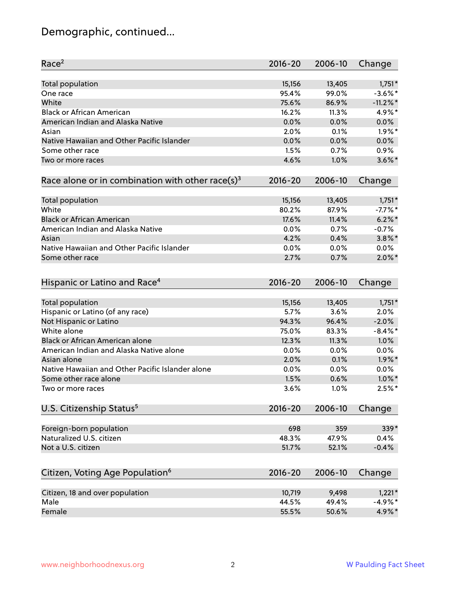# Demographic, continued...

| Race <sup>2</sup>                                            | $2016 - 20$ | 2006-10 | Change      |
|--------------------------------------------------------------|-------------|---------|-------------|
| <b>Total population</b>                                      | 15,156      | 13,405  | $1,751*$    |
| One race                                                     | 95.4%       | 99.0%   | $-3.6\%$ *  |
| White                                                        | 75.6%       | 86.9%   | $-11.2\%$ * |
| <b>Black or African American</b>                             | 16.2%       | 11.3%   | 4.9%*       |
| American Indian and Alaska Native                            | 0.0%        | 0.0%    | $0.0\%$     |
| Asian                                                        | 2.0%        | 0.1%    | $1.9\%$ *   |
| Native Hawaiian and Other Pacific Islander                   | 0.0%        | 0.0%    | 0.0%        |
| Some other race                                              | 1.5%        | 0.7%    | 0.9%        |
| Two or more races                                            | 4.6%        | 1.0%    | $3.6\%$ *   |
| Race alone or in combination with other race(s) <sup>3</sup> | $2016 - 20$ | 2006-10 | Change      |
| Total population                                             | 15,156      | 13,405  | $1,751*$    |
| White                                                        | 80.2%       | 87.9%   | $-7.7%$ *   |
| <b>Black or African American</b>                             | 17.6%       | 11.4%   | $6.2\%$ *   |
| American Indian and Alaska Native                            | 0.0%        | 0.7%    | $-0.7%$     |
| Asian                                                        | 4.2%        | 0.4%    | $3.8\%$ *   |
| Native Hawaiian and Other Pacific Islander                   | 0.0%        | 0.0%    | $0.0\%$     |
| Some other race                                              | 2.7%        | 0.7%    | $2.0\%$ *   |
| Hispanic or Latino and Race <sup>4</sup>                     | 2016-20     | 2006-10 | Change      |
| Total population                                             | 15,156      | 13,405  | $1,751*$    |
| Hispanic or Latino (of any race)                             | 5.7%        | 3.6%    | 2.0%        |
| Not Hispanic or Latino                                       | 94.3%       | 96.4%   | $-2.0%$     |
| White alone                                                  | 75.0%       | 83.3%   | $-8.4\%$ *  |
| <b>Black or African American alone</b>                       | 12.3%       | 11.3%   | 1.0%        |
| American Indian and Alaska Native alone                      | 0.0%        | 0.0%    | 0.0%        |
| Asian alone                                                  | 2.0%        | 0.1%    | $1.9\%$ *   |
| Native Hawaiian and Other Pacific Islander alone             | 0.0%        | 0.0%    | 0.0%        |
| Some other race alone                                        | 1.5%        | 0.6%    | $1.0\%$ *   |
| Two or more races                                            | 3.6%        | 1.0%    | $2.5%$ *    |
| U.S. Citizenship Status <sup>5</sup>                         | 2016-20     | 2006-10 | Change      |
| Foreign-born population                                      | 698         | 359     | 339*        |
| Naturalized U.S. citizen                                     | 48.3%       | 47.9%   | 0.4%        |
| Not a U.S. citizen                                           | 51.7%       | 52.1%   | $-0.4%$     |
|                                                              |             |         |             |
| Citizen, Voting Age Population <sup>6</sup>                  | 2016-20     | 2006-10 | Change      |
| Citizen, 18 and over population                              | 10,719      | 9,498   | $1,221*$    |
| Male                                                         | 44.5%       | 49.4%   | $-4.9%$ *   |
| Female                                                       | 55.5%       | 50.6%   | 4.9%*       |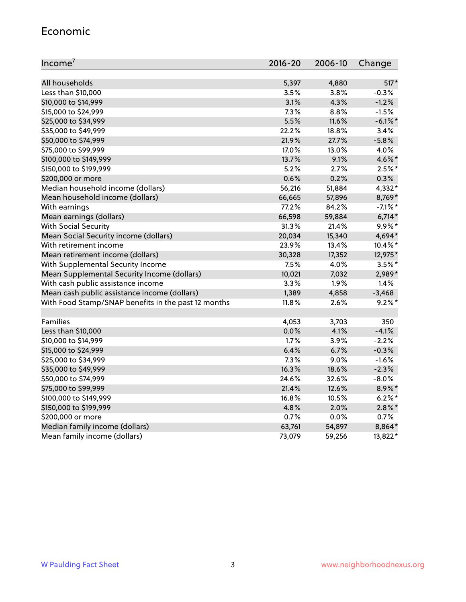#### Economic

| Income <sup>7</sup>                                 | $2016 - 20$ | 2006-10 | Change     |
|-----------------------------------------------------|-------------|---------|------------|
|                                                     |             |         |            |
| All households                                      | 5,397       | 4,880   | $517*$     |
| Less than \$10,000                                  | 3.5%        | 3.8%    | $-0.3%$    |
| \$10,000 to \$14,999                                | 3.1%        | 4.3%    | $-1.2%$    |
| \$15,000 to \$24,999                                | 7.3%        | 8.8%    | $-1.5%$    |
| \$25,000 to \$34,999                                | 5.5%        | 11.6%   | $-6.1\%$ * |
| \$35,000 to \$49,999                                | 22.2%       | 18.8%   | 3.4%       |
| \$50,000 to \$74,999                                | 21.9%       | 27.7%   | $-5.8%$    |
| \$75,000 to \$99,999                                | 17.0%       | 13.0%   | 4.0%       |
| \$100,000 to \$149,999                              | 13.7%       | 9.1%    | 4.6%*      |
| \$150,000 to \$199,999                              | 5.2%        | 2.7%    | $2.5%$ *   |
| \$200,000 or more                                   | 0.6%        | 0.2%    | 0.3%       |
| Median household income (dollars)                   | 56,216      | 51,884  | 4,332*     |
| Mean household income (dollars)                     | 66,665      | 57,896  | 8,769*     |
| With earnings                                       | 77.2%       | 84.2%   | $-7.1\%$ * |
| Mean earnings (dollars)                             | 66,598      | 59,884  | $6,714*$   |
| <b>With Social Security</b>                         | 31.3%       | 21.4%   | 9.9%*      |
| Mean Social Security income (dollars)               | 20,034      | 15,340  | 4,694*     |
| With retirement income                              | 23.9%       | 13.4%   | 10.4%*     |
| Mean retirement income (dollars)                    | 30,328      | 17,352  | 12,975*    |
| With Supplemental Security Income                   | 7.5%        | 4.0%    | $3.5%$ *   |
| Mean Supplemental Security Income (dollars)         | 10,021      | 7,032   | 2,989*     |
| With cash public assistance income                  | 3.3%        | 1.9%    | 1.4%       |
| Mean cash public assistance income (dollars)        | 1,389       | 4,858   | $-3,468$   |
| With Food Stamp/SNAP benefits in the past 12 months | 11.8%       | 2.6%    | $9.2%$ *   |
|                                                     |             |         |            |
| Families                                            | 4,053       | 3,703   | 350        |
| Less than \$10,000                                  | 0.0%        | 4.1%    | $-4.1%$    |
| \$10,000 to \$14,999                                | 1.7%        | 3.9%    | $-2.2%$    |
| \$15,000 to \$24,999                                | 6.4%        | 6.7%    | $-0.3%$    |
| \$25,000 to \$34,999                                | 7.3%        | 9.0%    | $-1.6%$    |
| \$35,000 to \$49,999                                | 16.3%       | 18.6%   | $-2.3%$    |
| \$50,000 to \$74,999                                | 24.6%       | 32.6%   | $-8.0%$    |
| \$75,000 to \$99,999                                | 21.4%       | 12.6%   | 8.9%*      |
| \$100,000 to \$149,999                              | 16.8%       | 10.5%   | $6.2%$ *   |
| \$150,000 to \$199,999                              | 4.8%        | 2.0%    | $2.8\%$ *  |
| \$200,000 or more                                   | 0.7%        | 0.0%    | 0.7%       |
| Median family income (dollars)                      | 63,761      | 54,897  | 8,864*     |
| Mean family income (dollars)                        | 73,079      | 59,256  | 13,822*    |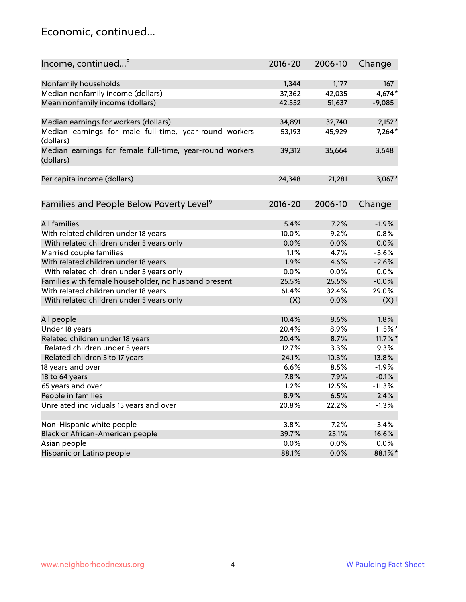#### Economic, continued...

| Income, continued <sup>8</sup>                                        | $2016 - 20$ | 2006-10 | Change             |
|-----------------------------------------------------------------------|-------------|---------|--------------------|
|                                                                       |             |         |                    |
| Nonfamily households                                                  | 1,344       | 1,177   | 167                |
| Median nonfamily income (dollars)                                     | 37,362      | 42,035  | $-4,674*$          |
| Mean nonfamily income (dollars)                                       | 42,552      | 51,637  | $-9,085$           |
| Median earnings for workers (dollars)                                 | 34,891      | 32,740  | $2,152*$           |
| Median earnings for male full-time, year-round workers                | 53,193      | 45,929  | 7,264*             |
| (dollars)                                                             |             |         |                    |
| Median earnings for female full-time, year-round workers<br>(dollars) | 39,312      | 35,664  | 3,648              |
| Per capita income (dollars)                                           | 24,348      | 21,281  | $3,067*$           |
|                                                                       |             |         |                    |
| Families and People Below Poverty Level <sup>9</sup>                  | $2016 - 20$ | 2006-10 | Change             |
|                                                                       |             |         |                    |
| <b>All families</b>                                                   | 5.4%        | 7.2%    | $-1.9%$            |
| With related children under 18 years                                  | 10.0%       | 9.2%    | 0.8%               |
| With related children under 5 years only                              | 0.0%        | 0.0%    | 0.0%               |
| Married couple families                                               | 1.1%        | 4.7%    | $-3.6%$            |
| With related children under 18 years                                  | 1.9%        | 4.6%    | $-2.6%$            |
| With related children under 5 years only                              | 0.0%        | 0.0%    | 0.0%               |
| Families with female householder, no husband present                  | 25.5%       | 25.5%   | $-0.0%$            |
| With related children under 18 years                                  | 61.4%       | 32.4%   | 29.0%              |
| With related children under 5 years only                              | (X)         | 0.0%    | $(X)$ <sup>+</sup> |
| All people                                                            | 10.4%       | 8.6%    | 1.8%               |
| Under 18 years                                                        | 20.4%       | 8.9%    | $11.5\%$ *         |
| Related children under 18 years                                       | 20.4%       | 8.7%    | $11.7\%$ *         |
| Related children under 5 years                                        | 12.7%       | 3.3%    | 9.3%               |
| Related children 5 to 17 years                                        | 24.1%       | 10.3%   | 13.8%              |
| 18 years and over                                                     | 6.6%        | 8.5%    | $-1.9%$            |
| 18 to 64 years                                                        | 7.8%        | 7.9%    | $-0.1%$            |
| 65 years and over                                                     | 1.2%        | 12.5%   | $-11.3%$           |
| People in families                                                    | 8.9%        | 6.5%    | 2.4%               |
| Unrelated individuals 15 years and over                               | 20.8%       | 22.2%   | $-1.3%$            |
|                                                                       |             |         |                    |
| Non-Hispanic white people                                             | 3.8%        | 7.2%    | $-3.4%$            |
| Black or African-American people                                      | 39.7%       | 23.1%   | 16.6%              |
| Asian people                                                          | $0.0\%$     | 0.0%    | 0.0%               |
| Hispanic or Latino people                                             | 88.1%       | 0.0%    | 88.1%*             |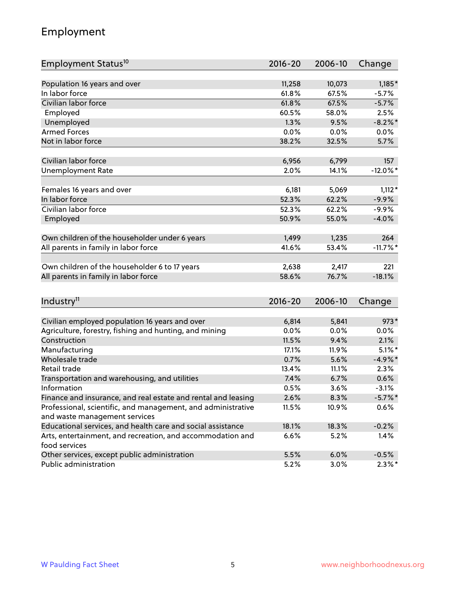## Employment

| Employment Status <sup>10</sup>                                                               | $2016 - 20$ | 2006-10 | Change      |
|-----------------------------------------------------------------------------------------------|-------------|---------|-------------|
|                                                                                               |             |         |             |
| Population 16 years and over                                                                  | 11,258      | 10,073  | $1,185*$    |
| In labor force                                                                                | 61.8%       | 67.5%   | $-5.7%$     |
| Civilian labor force                                                                          | 61.8%       | 67.5%   | $-5.7%$     |
| Employed                                                                                      | 60.5%       | 58.0%   | 2.5%        |
| Unemployed                                                                                    | 1.3%        | 9.5%    | $-8.2\%$ *  |
| <b>Armed Forces</b>                                                                           | 0.0%        | 0.0%    | 0.0%        |
| Not in labor force                                                                            | 38.2%       | 32.5%   | 5.7%        |
| Civilian labor force                                                                          | 6,956       | 6,799   | 157         |
| <b>Unemployment Rate</b>                                                                      | 2.0%        | 14.1%   | $-12.0\%$ * |
|                                                                                               |             |         |             |
| Females 16 years and over                                                                     | 6,181       | 5,069   | $1,112*$    |
| In labor force                                                                                | 52.3%       | 62.2%   | $-9.9%$     |
| Civilian labor force                                                                          | 52.3%       | 62.2%   | $-9.9%$     |
| Employed                                                                                      | 50.9%       | 55.0%   | $-4.0%$     |
| Own children of the householder under 6 years                                                 | 1,499       | 1,235   | 264         |
| All parents in family in labor force                                                          | 41.6%       | 53.4%   | $-11.7%$ *  |
|                                                                                               |             |         |             |
| Own children of the householder 6 to 17 years                                                 | 2,638       | 2,417   | 221         |
| All parents in family in labor force                                                          | 58.6%       | 76.7%   | $-18.1%$    |
|                                                                                               |             |         |             |
| Industry <sup>11</sup>                                                                        | $2016 - 20$ | 2006-10 | Change      |
|                                                                                               |             |         |             |
| Civilian employed population 16 years and over                                                | 6,814       | 5,841   | 973*        |
| Agriculture, forestry, fishing and hunting, and mining                                        | 0.0%        | 0.0%    | $0.0\%$     |
| Construction                                                                                  | 11.5%       | 9.4%    | 2.1%        |
| Manufacturing                                                                                 | 17.1%       | 11.9%   | $5.1\%$ *   |
| Wholesale trade<br>Retail trade                                                               | 0.7%        | 5.6%    | $-4.9%$ *   |
|                                                                                               | 13.4%       | 11.1%   | 2.3%        |
| Transportation and warehousing, and utilities<br>Information                                  | 7.4%        | 6.7%    | 0.6%        |
|                                                                                               | 0.5%        | 3.6%    | $-3.1%$     |
| Finance and insurance, and real estate and rental and leasing                                 | 2.6%        | 8.3%    | $-5.7%$ *   |
| Professional, scientific, and management, and administrative<br>and waste management services | 11.5%       | 10.9%   | 0.6%        |
| Educational services, and health care and social assistance                                   | 18.1%       | 18.3%   | $-0.2%$     |
| Arts, entertainment, and recreation, and accommodation and                                    | 6.6%        | 5.2%    | 1.4%        |
| food services                                                                                 |             |         |             |
| Other services, except public administration                                                  | 5.5%        | 6.0%    | $-0.5%$     |
| Public administration                                                                         | 5.2%        | 3.0%    | $2.3\%$ *   |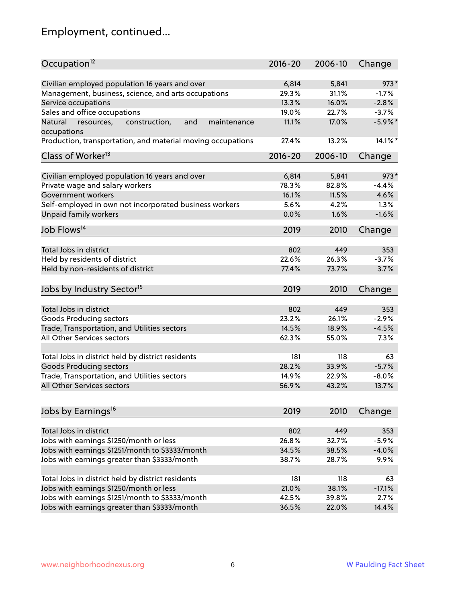# Employment, continued...

| Occupation <sup>12</sup>                                                   | $2016 - 20$ | 2006-10      | Change     |
|----------------------------------------------------------------------------|-------------|--------------|------------|
| Civilian employed population 16 years and over                             | 6,814       | 5,841        | $973*$     |
| Management, business, science, and arts occupations                        | 29.3%       | 31.1%        | $-1.7%$    |
| Service occupations                                                        | 13.3%       | 16.0%        | $-2.8%$    |
| Sales and office occupations                                               | 19.0%       | 22.7%        | $-3.7%$    |
| Natural<br>and<br>maintenance                                              | 11.1%       | 17.0%        | $-5.9\%$ * |
| resources,<br>construction,<br>occupations                                 |             |              |            |
| Production, transportation, and material moving occupations                | 27.4%       | 13.2%        | 14.1%*     |
| Class of Worker <sup>13</sup>                                              | $2016 - 20$ | 2006-10      | Change     |
|                                                                            | 6,814       | 5,841        | $973*$     |
| Civilian employed population 16 years and over                             |             |              |            |
| Private wage and salary workers                                            | 78.3%       | 82.8%        | $-4.4%$    |
| Government workers                                                         | 16.1%       | 11.5%        | 4.6%       |
| Self-employed in own not incorporated business workers                     | 5.6%        | 4.2%         | 1.3%       |
| <b>Unpaid family workers</b>                                               | 0.0%        | 1.6%         | $-1.6%$    |
| Job Flows <sup>14</sup>                                                    | 2019        | 2010         | Change     |
|                                                                            |             |              |            |
| Total Jobs in district                                                     | 802         | 449          | 353        |
| Held by residents of district                                              | 22.6%       | 26.3%        | $-3.7%$    |
| Held by non-residents of district                                          | 77.4%       | 73.7%        | 3.7%       |
| Jobs by Industry Sector <sup>15</sup>                                      | 2019        | 2010         | Change     |
| Total Jobs in district                                                     | 802         | 449          | 353        |
| Goods Producing sectors                                                    | 23.2%       | 26.1%        | $-2.9%$    |
|                                                                            | 14.5%       | 18.9%        | $-4.5%$    |
| Trade, Transportation, and Utilities sectors<br>All Other Services sectors |             |              |            |
|                                                                            | 62.3%       | 55.0%        | 7.3%       |
| Total Jobs in district held by district residents                          | 181         | 118          | 63         |
| <b>Goods Producing sectors</b>                                             | 28.2%       | 33.9%        | $-5.7%$    |
| Trade, Transportation, and Utilities sectors                               | 14.9%       | 22.9%        | $-8.0%$    |
| All Other Services sectors                                                 | 56.9%       | 43.2%        | 13.7%      |
|                                                                            |             |              |            |
| Jobs by Earnings <sup>16</sup>                                             | 2019        | 2010         | Change     |
| Total Jobs in district                                                     | 802         |              | 353        |
| Jobs with earnings \$1250/month or less                                    | 26.8%       | 449<br>32.7% | $-5.9%$    |
|                                                                            |             |              |            |
| Jobs with earnings \$1251/month to \$3333/month                            | 34.5%       | 38.5%        | $-4.0%$    |
| Jobs with earnings greater than \$3333/month                               | 38.7%       | 28.7%        | 9.9%       |
| Total Jobs in district held by district residents                          | 181         | 118          | 63         |
| Jobs with earnings \$1250/month or less                                    | 21.0%       | 38.1%        | $-17.1%$   |
| Jobs with earnings \$1251/month to \$3333/month                            | 42.5%       | 39.8%        | 2.7%       |
| Jobs with earnings greater than \$3333/month                               | 36.5%       | 22.0%        | 14.4%      |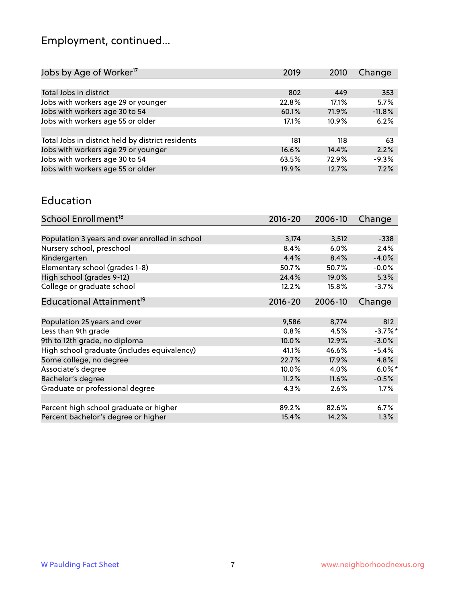# Employment, continued...

| Change   |
|----------|
|          |
| 353      |
| 5.7%     |
| $-11.8%$ |
| 6.2%     |
|          |
| 63       |
| 2.2%     |
| $-9.3%$  |
| 7.2%     |
|          |

#### Education

| School Enrollment <sup>18</sup>                | $2016 - 20$ | 2006-10 | Change     |
|------------------------------------------------|-------------|---------|------------|
|                                                |             |         |            |
| Population 3 years and over enrolled in school | 3,174       | 3,512   | $-338$     |
| Nursery school, preschool                      | 8.4%        | $6.0\%$ | 2.4%       |
| Kindergarten                                   | 4.4%        | 8.4%    | $-4.0%$    |
| Elementary school (grades 1-8)                 | 50.7%       | 50.7%   | $-0.0%$    |
| High school (grades 9-12)                      | 24.4%       | 19.0%   | 5.3%       |
| College or graduate school                     | 12.2%       | 15.8%   | $-3.7%$    |
| Educational Attainment <sup>19</sup>           | $2016 - 20$ | 2006-10 | Change     |
|                                                |             |         |            |
| Population 25 years and over                   | 9,586       | 8,774   | 812        |
| Less than 9th grade                            | 0.8%        | 4.5%    | $-3.7\%$ * |
| 9th to 12th grade, no diploma                  | 10.0%       | 12.9%   | $-3.0%$    |
| High school graduate (includes equivalency)    | 41.1%       | 46.6%   | $-5.4%$    |
| Some college, no degree                        | 22.7%       | 17.9%   | 4.8%       |
| Associate's degree                             | 10.0%       | 4.0%    | $6.0\%$ *  |
| Bachelor's degree                              | 11.2%       | 11.6%   | $-0.5%$    |
| Graduate or professional degree                | 4.3%        | 2.6%    | $1.7\%$    |
|                                                |             |         |            |
| Percent high school graduate or higher         | 89.2%       | 82.6%   | $6.7\%$    |
| Percent bachelor's degree or higher            | 15.4%       | 14.2%   | 1.3%       |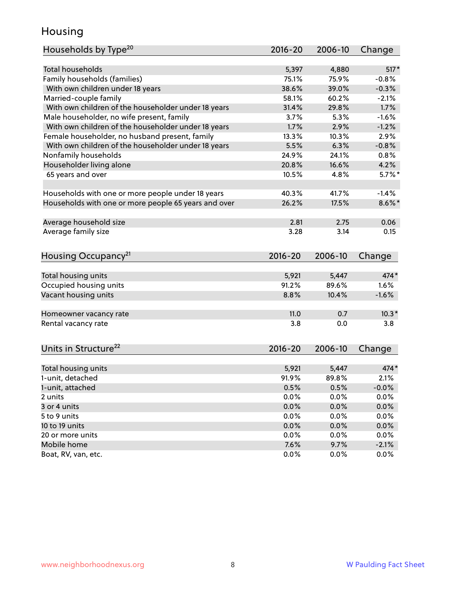## Housing

| Households by Type <sup>20</sup>                     | 2016-20     | 2006-10 | Change    |
|------------------------------------------------------|-------------|---------|-----------|
|                                                      |             |         |           |
| Total households                                     | 5,397       | 4,880   | $517*$    |
| Family households (families)                         | 75.1%       | 75.9%   | $-0.8%$   |
| With own children under 18 years                     | 38.6%       | 39.0%   | $-0.3%$   |
| Married-couple family                                | 58.1%       | 60.2%   | $-2.1%$   |
| With own children of the householder under 18 years  | 31.4%       | 29.8%   | 1.7%      |
| Male householder, no wife present, family            | 3.7%        | 5.3%    | $-1.6%$   |
| With own children of the householder under 18 years  | 1.7%        | 2.9%    | $-1.2%$   |
| Female householder, no husband present, family       | 13.3%       | 10.3%   | 2.9%      |
| With own children of the householder under 18 years  | 5.5%        | 6.3%    | $-0.8%$   |
| Nonfamily households                                 | 24.9%       | 24.1%   | 0.8%      |
| Householder living alone                             | 20.8%       | 16.6%   | 4.2%      |
| 65 years and over                                    | 10.5%       | 4.8%    | $5.7\%$ * |
| Households with one or more people under 18 years    | 40.3%       | 41.7%   | $-1.4%$   |
| Households with one or more people 65 years and over | 26.2%       | 17.5%   | $8.6\%$ * |
|                                                      |             |         |           |
| Average household size                               | 2.81        | 2.75    | 0.06      |
| Average family size                                  | 3.28        | 3.14    | 0.15      |
| Housing Occupancy <sup>21</sup>                      | $2016 - 20$ | 2006-10 | Change    |
| Total housing units                                  | 5,921       | 5,447   | 474*      |
| Occupied housing units                               | 91.2%       | 89.6%   | 1.6%      |
| Vacant housing units                                 | 8.8%        | 10.4%   | $-1.6%$   |
|                                                      |             |         |           |
| Homeowner vacancy rate                               | 11.0        | 0.7     | $10.3*$   |
| Rental vacancy rate                                  | 3.8         | 0.0     | 3.8       |
| Units in Structure <sup>22</sup>                     | $2016 - 20$ | 2006-10 | Change    |
| Total housing units                                  | 5,921       | 5,447   | 474*      |
| 1-unit, detached                                     | 91.9%       | 89.8%   | 2.1%      |
| 1-unit, attached                                     | 0.5%        | 0.5%    | $-0.0%$   |
| 2 units                                              | 0.0%        | 0.0%    | 0.0%      |
| 3 or 4 units                                         | 0.0%        | 0.0%    | 0.0%      |
| 5 to 9 units                                         | 0.0%        | 0.0%    | 0.0%      |
|                                                      |             |         |           |
| 10 to 19 units                                       | 0.0%        | 0.0%    | 0.0%      |
| 20 or more units                                     | 0.0%        | 0.0%    | 0.0%      |
| Mobile home                                          | 7.6%        | 9.7%    | $-2.1%$   |
| Boat, RV, van, etc.                                  | 0.0%        | $0.0\%$ | $0.0\%$   |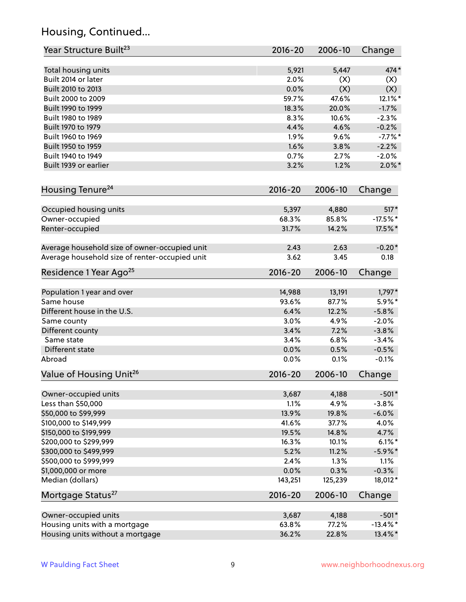## Housing, Continued...

| Year Structure Built <sup>23</sup>             | $2016 - 20$ | 2006-10 | Change      |
|------------------------------------------------|-------------|---------|-------------|
| Total housing units                            | 5,921       | 5,447   | 474*        |
| Built 2014 or later                            | 2.0%        | (X)     | (X)         |
| Built 2010 to 2013                             | 0.0%        | (X)     | (X)         |
| Built 2000 to 2009                             | 59.7%       | 47.6%   | 12.1%*      |
| Built 1990 to 1999                             | 18.3%       | 20.0%   | $-1.7%$     |
| Built 1980 to 1989                             | 8.3%        | 10.6%   | $-2.3%$     |
| Built 1970 to 1979                             | 4.4%        | 4.6%    | $-0.2%$     |
| Built 1960 to 1969                             | 1.9%        | 9.6%    | $-7.7%$ *   |
| Built 1950 to 1959                             | 1.6%        | 3.8%    | $-2.2%$     |
| Built 1940 to 1949                             | 0.7%        | 2.7%    | $-2.0%$     |
| Built 1939 or earlier                          | 3.2%        | 1.2%    | $2.0\%$ *   |
|                                                |             |         |             |
| Housing Tenure <sup>24</sup>                   | $2016 - 20$ | 2006-10 | Change      |
| Occupied housing units                         | 5,397       | 4,880   | $517*$      |
| Owner-occupied                                 | 68.3%       | 85.8%   | $-17.5%$ *  |
| Renter-occupied                                | 31.7%       | 14.2%   | 17.5%*      |
|                                                |             |         |             |
| Average household size of owner-occupied unit  | 2.43        | 2.63    | $-0.20*$    |
| Average household size of renter-occupied unit | 3.62        | 3.45    | 0.18        |
| Residence 1 Year Ago <sup>25</sup>             | $2016 - 20$ | 2006-10 | Change      |
|                                                |             |         |             |
| Population 1 year and over                     | 14,988      | 13,191  | $1,797*$    |
| Same house                                     | 93.6%       | 87.7%   | $5.9\%*$    |
| Different house in the U.S.                    | 6.4%        | 12.2%   | $-5.8%$     |
| Same county                                    | 3.0%        | 4.9%    | $-2.0%$     |
| Different county                               | 3.4%        | 7.2%    | $-3.8%$     |
| Same state                                     | 3.4%        | 6.8%    | $-3.4%$     |
| Different state                                | 0.0%        | 0.5%    | $-0.5%$     |
| Abroad                                         | 0.0%        | 0.1%    | $-0.1%$     |
| Value of Housing Unit <sup>26</sup>            | 2016-20     | 2006-10 | Change      |
| Owner-occupied units                           | 3,687       | 4,188   | $-501*$     |
| Less than \$50,000                             | 1.1%        | 4.9%    | $-3.8%$     |
| \$50,000 to \$99,999                           | 13.9%       | 19.8%   | $-6.0%$     |
| \$100,000 to \$149,999                         | 41.6%       | 37.7%   | 4.0%        |
| \$150,000 to \$199,999                         | 19.5%       | 14.8%   | 4.7%        |
| \$200,000 to \$299,999                         | 16.3%       | 10.1%   | $6.1\%$ *   |
| \$300,000 to \$499,999                         | 5.2%        | 11.2%   | $-5.9\%$ *  |
| \$500,000 to \$999,999                         | 2.4%        | 1.3%    | 1.1%        |
| \$1,000,000 or more                            | 0.0%        | 0.3%    | $-0.3%$     |
| Median (dollars)                               | 143,251     | 125,239 | 18,012*     |
|                                                |             |         |             |
| Mortgage Status <sup>27</sup>                  | $2016 - 20$ | 2006-10 | Change      |
| Owner-occupied units                           | 3,687       | 4,188   | $-501*$     |
| Housing units with a mortgage                  | 63.8%       | 77.2%   | $-13.4\%$ * |
| Housing units without a mortgage               | 36.2%       | 22.8%   | 13.4%*      |
|                                                |             |         |             |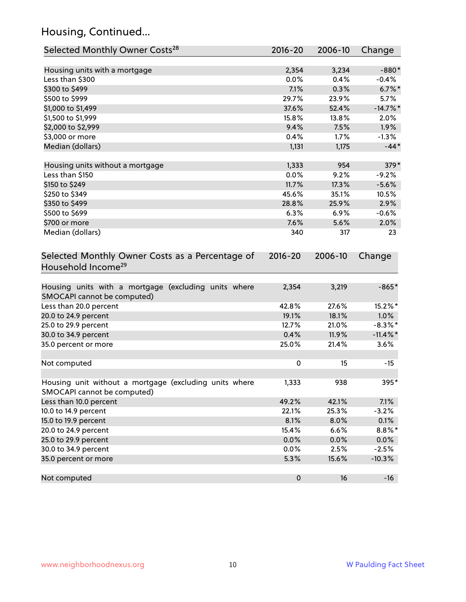## Housing, Continued...

| Selected Monthly Owner Costs <sup>28</sup>                                            | 2016-20   | 2006-10 | Change      |
|---------------------------------------------------------------------------------------|-----------|---------|-------------|
| Housing units with a mortgage                                                         | 2,354     | 3,234   | $-880*$     |
| Less than \$300                                                                       | 0.0%      | 0.4%    | $-0.4%$     |
| \$300 to \$499                                                                        | 7.1%      | 0.3%    | $6.7\%$ *   |
| \$500 to \$999                                                                        | 29.7%     | 23.9%   | 5.7%        |
| \$1,000 to \$1,499                                                                    | 37.6%     | 52.4%   | $-14.7%$ *  |
| \$1,500 to \$1,999                                                                    | 15.8%     | 13.8%   | 2.0%        |
| \$2,000 to \$2,999                                                                    | 9.4%      | 7.5%    | 1.9%        |
| \$3,000 or more                                                                       | 0.4%      | 1.7%    | $-1.3%$     |
| Median (dollars)                                                                      | 1,131     | 1,175   | $-44*$      |
| Housing units without a mortgage                                                      | 1,333     | 954     | 379*        |
| Less than \$150                                                                       | 0.0%      | 9.2%    | $-9.2%$     |
| \$150 to \$249                                                                        | 11.7%     | 17.3%   | $-5.6%$     |
| \$250 to \$349                                                                        | 45.6%     | 35.1%   | 10.5%       |
| \$350 to \$499                                                                        | 28.8%     | 25.9%   | 2.9%        |
| \$500 to \$699                                                                        | 6.3%      | 6.9%    | $-0.6%$     |
| \$700 or more                                                                         | 7.6%      | 5.6%    | 2.0%        |
| Median (dollars)                                                                      | 340       | 317     | 23          |
| Household Income <sup>29</sup>                                                        |           |         | Change      |
| Housing units with a mortgage (excluding units where<br>SMOCAPI cannot be computed)   | 2,354     | 3,219   | $-865*$     |
| Less than 20.0 percent                                                                | 42.8%     | 27.6%   | 15.2%*      |
| 20.0 to 24.9 percent                                                                  | 19.1%     | 18.1%   | 1.0%        |
| 25.0 to 29.9 percent                                                                  | 12.7%     | 21.0%   | $-8.3\%$ *  |
| 30.0 to 34.9 percent                                                                  | 0.4%      | 11.9%   | $-11.4\%$ * |
| 35.0 percent or more                                                                  | 25.0%     | 21.4%   | 3.6%        |
| Not computed                                                                          | 0         | 15      | $-15$       |
| Housing unit without a mortgage (excluding units where<br>SMOCAPI cannot be computed) | 1,333     | 938     | 395*        |
| Less than 10.0 percent                                                                | 49.2%     | 42.1%   | 7.1%        |
| 10.0 to 14.9 percent                                                                  | 22.1%     | 25.3%   | $-3.2%$     |
| 15.0 to 19.9 percent                                                                  | 8.1%      | 8.0%    | 0.1%        |
| 20.0 to 24.9 percent                                                                  | 15.4%     | 6.6%    | $8.8\%$ *   |
| 25.0 to 29.9 percent                                                                  | 0.0%      | 0.0%    | $0.0\%$     |
| 30.0 to 34.9 percent                                                                  | 0.0%      | 2.5%    | $-2.5%$     |
| 35.0 percent or more                                                                  | 5.3%      | 15.6%   | $-10.3%$    |
| Not computed                                                                          | $\pmb{0}$ | 16      | $-16$       |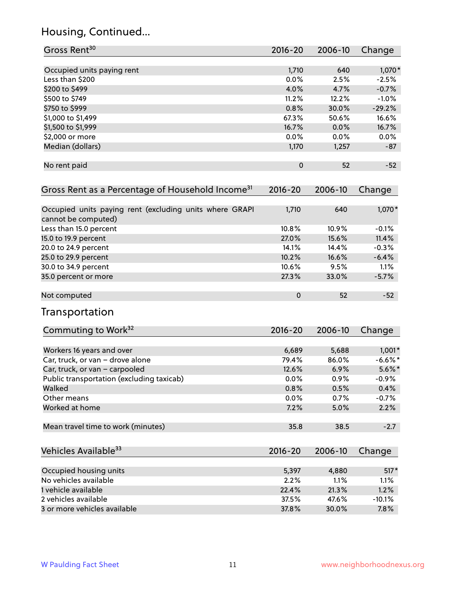#### Housing, Continued...

| Housing, Continued                                                             |               |             |                   |
|--------------------------------------------------------------------------------|---------------|-------------|-------------------|
| Gross Rent <sup>30</sup>                                                       | 2016-20       | 2006-10     | Change            |
|                                                                                |               |             |                   |
| Occupied units paying rent<br>Less than \$200                                  | 1,710<br>0.0% | 640<br>2.5% | 1,070*<br>$-2.5%$ |
| \$200 to \$499                                                                 | 4.0%          | 4.7%        | $-0.7%$           |
| \$500 to \$749                                                                 | 11.2%         | 12.2%       | $-1.0%$           |
| \$750 to \$999                                                                 | 0.8%          | 30.0%       | $-29.2%$          |
| \$1,000 to \$1,499                                                             | 67.3%         | 50.6%       | 16.6%             |
| \$1,500 to \$1,999                                                             | 16.7%         | 0.0%        | 16.7%             |
| \$2,000 or more                                                                | 0.0%          | 0.0%        | 0.0%              |
| Median (dollars)                                                               | 1,170         | 1,257       | $-87$             |
|                                                                                |               | 52          |                   |
| No rent paid                                                                   | 0             |             | $-52$             |
| Gross Rent as a Percentage of Household Income <sup>31</sup>                   | $2016 - 20$   | 2006-10     | Change            |
|                                                                                |               |             |                   |
| Occupied units paying rent (excluding units where GRAPI<br>cannot be computed) | 1,710         | 640         | $1,070*$          |
| Less than 15.0 percent                                                         | 10.8%         | 10.9%       | $-0.1%$           |
| 15.0 to 19.9 percent                                                           | 27.0%         | 15.6%       | 11.4%             |
| 20.0 to 24.9 percent                                                           | 14.1%         | 14.4%       | $-0.3%$           |
| 25.0 to 29.9 percent                                                           | 10.2%         | 16.6%       | $-6.4%$           |
| 30.0 to 34.9 percent                                                           | 10.6%         | 9.5%        | 1.1%              |
| 35.0 percent or more                                                           | 27.3%         | 33.0%       | $-5.7%$           |
| Not computed                                                                   | $\pmb{0}$     | 52          | $-52$             |
| Transportation                                                                 |               |             |                   |
| Commuting to Work <sup>32</sup>                                                | 2016-20       | 2006-10     | Change            |
| Workers 16 years and over                                                      | 6,689         | 5,688       | $1,001*$          |
| Car, truck, or van - drove alone                                               | 79.4%         | 86.0%       | $-6.6\%$ *        |
| Car, truck, or van - carpooled                                                 | 12.6%         | 6.9%        | $5.6\%$ *         |
| Public transportation (excluding taxicab)                                      | 0.0%          | 0.9%        | $-0.9%$           |
| Walked                                                                         | 0.8%          | 0.5%        | 0.4%              |
| Other means                                                                    | 0.0%          | 0.7%        | $-0.7%$           |
| Worked at home                                                                 | 7.2%          | 5.0%        | 2.2%              |
|                                                                                |               |             |                   |
| Mean travel time to work (minutes)                                             | 35.8          | 38.5        | $-2.7$            |
|                                                                                |               |             |                   |

| Vehicles Available <sup>33</sup> | 2016-20 | 2006-10 | Change   |
|----------------------------------|---------|---------|----------|
|                                  |         |         |          |
| Occupied housing units           | 5,397   | 4,880   | $517*$   |
| No vehicles available            | 2.2%    | 1.1%    | 1.1%     |
| 1 vehicle available              | 22.4%   | 21.3%   | 1.2%     |
| 2 vehicles available             | 37.5%   | 47.6%   | $-10.1%$ |
| 3 or more vehicles available     | 37.8%   | 30.0%   | 7.8%     |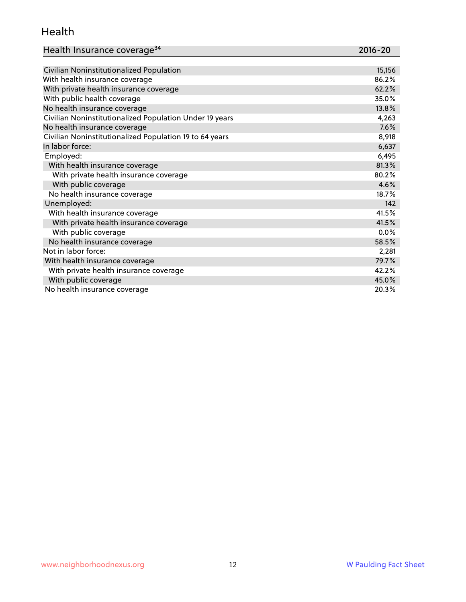#### Health

| Health Insurance coverage <sup>34</sup> | 2016-20 |
|-----------------------------------------|---------|
|-----------------------------------------|---------|

| Civilian Noninstitutionalized Population                | 15,156 |
|---------------------------------------------------------|--------|
| With health insurance coverage                          | 86.2%  |
| With private health insurance coverage                  | 62.2%  |
| With public health coverage                             | 35.0%  |
| No health insurance coverage                            | 13.8%  |
| Civilian Noninstitutionalized Population Under 19 years | 4,263  |
| No health insurance coverage                            | 7.6%   |
| Civilian Noninstitutionalized Population 19 to 64 years | 8,918  |
| In labor force:                                         | 6,637  |
| Employed:                                               | 6,495  |
| With health insurance coverage                          | 81.3%  |
| With private health insurance coverage                  | 80.2%  |
| With public coverage                                    | 4.6%   |
| No health insurance coverage                            | 18.7%  |
| Unemployed:                                             | 142    |
| With health insurance coverage                          | 41.5%  |
| With private health insurance coverage                  | 41.5%  |
| With public coverage                                    | 0.0%   |
| No health insurance coverage                            | 58.5%  |
| Not in labor force:                                     | 2,281  |
| With health insurance coverage                          | 79.7%  |
| With private health insurance coverage                  | 42.2%  |
| With public coverage                                    | 45.0%  |
| No health insurance coverage                            | 20.3%  |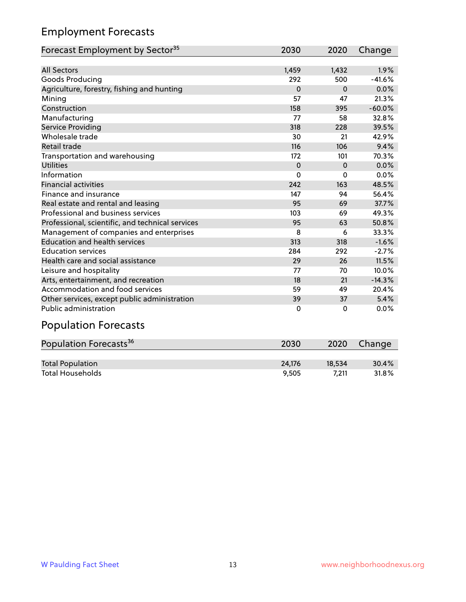## Employment Forecasts

| Forecast Employment by Sector <sup>35</sup>      | 2030     | 2020     | Change   |
|--------------------------------------------------|----------|----------|----------|
|                                                  |          |          |          |
| <b>All Sectors</b>                               | 1,459    | 1,432    | 1.9%     |
| Goods Producing                                  | 292      | 500      | $-41.6%$ |
| Agriculture, forestry, fishing and hunting       | $\Omega$ | $\Omega$ | 0.0%     |
| Mining                                           | 57       | 47       | 21.3%    |
| Construction                                     | 158      | 395      | $-60.0%$ |
| Manufacturing                                    | 77       | 58       | 32.8%    |
| Service Providing                                | 318      | 228      | 39.5%    |
| Wholesale trade                                  | 30       | 21       | 42.9%    |
| Retail trade                                     | 116      | 106      | 9.4%     |
| Transportation and warehousing                   | 172      | 101      | 70.3%    |
| <b>Utilities</b>                                 | $\Omega$ | $\Omega$ | 0.0%     |
| Information                                      | 0        | $\Omega$ | 0.0%     |
| <b>Financial activities</b>                      | 242      | 163      | 48.5%    |
| Finance and insurance                            | 147      | 94       | 56.4%    |
| Real estate and rental and leasing               | 95       | 69       | 37.7%    |
| Professional and business services               | 103      | 69       | 49.3%    |
| Professional, scientific, and technical services | 95       | 63       | 50.8%    |
| Management of companies and enterprises          | 8        | 6        | 33.3%    |
| <b>Education and health services</b>             | 313      | 318      | $-1.6%$  |
| <b>Education services</b>                        | 284      | 292      | $-2.7%$  |
| Health care and social assistance                | 29       | 26       | 11.5%    |
| Leisure and hospitality                          | 77       | 70       | 10.0%    |
| Arts, entertainment, and recreation              | 18       | 21       | $-14.3%$ |
| Accommodation and food services                  | 59       | 49       | 20.4%    |
| Other services, except public administration     | 39       | 37       | 5.4%     |
| <b>Public administration</b>                     | $\Omega$ | 0        | 0.0%     |

# Population Forecasts

| Population Forecasts <sup>36</sup> | 2030   | 2020   | Change |
|------------------------------------|--------|--------|--------|
|                                    |        |        |        |
| <b>Total Population</b>            | 24.176 | 18.534 | 30.4%  |
| <b>Total Households</b>            | 9.505  | 7.211  | 31.8%  |